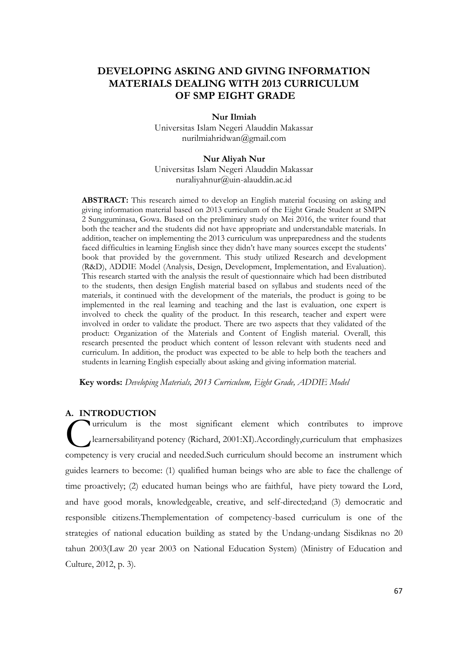# **DEVELOPING ASKING AND GIVING INFORMATION MATERIALS DEALING WITH 2013 CURRICULUM OF SMP EIGHT GRADE**

#### **Nur Ilmiah**

Universitas Islam Negeri Alauddin Makassar nurilmiahridwan@gmail.com

# **Nur Aliyah Nur**

Universitas Islam Negeri Alauddin Makassar [nuraliyahnur@uin-alauddin.ac.id](mailto:nuraliyahnur@uin-alauddin.ac.id)

**ABSTRACT:** This research aimed to develop an English material focusing on asking and giving information material based on 2013 curriculum of the Eight Grade Student at SMPN 2 Sungguminasa, Gowa. Based on the preliminary study on Mei 2016, the writer found that both the teacher and the students did not have appropriate and understandable materials. In addition, teacher on implementing the 2013 curriculum was unpreparedness and the students faced difficulties in learning English since they didn't have many sources except the students' book that provided by the government. This study utilized Research and development (R&D), ADDIE Model (Analysis, Design, Development, Implementation, and Evaluation). This research started with the analysis the result of questionnaire which had been distributed to the students, then design English material based on syllabus and students need of the materials, it continued with the development of the materials, the product is going to be implemented in the real learning and teaching and the last is evaluation, one expert is involved to check the quality of the product. In this research, teacher and expert were involved in order to validate the product. There are two aspects that they validated of the product: Organization of the Materials and Content of English material. Overall, this research presented the product which content of lesson relevant with students need and curriculum. In addition, the product was expected to be able to help both the teachers and students in learning English especially about asking and giving information material.

**Key words:** *Developing Materials, 2013 Curriculum, Eight Grade, ADDIE Model*

### **A. INTRODUCTION**

urriculum is the most significant element which contributes to improve learnersabilityand potency (Richard, 2001:XI).Accordingly,curriculum that emphasizes Curriculum is the most significant element which contributes to improve<br>
learnersability and potency (Richard, 2001:XI). Accordingly, curriculum that emphasizes<br>
competency is very crucial and needed. Such curriculum shoul guides learners to become: (1) qualified human beings who are able to face the challenge of time proactively; (2) educated human beings who are faithful, have piety toward the Lord, and have good morals, knowledgeable, creative, and self-directed;and (3) democratic and responsible citizens.Themplementation of competency-based curriculum is one of the strategies of national education building as stated by the Undang-undang Sisdiknas no 20 tahun 2003(Law 20 year 2003 on National Education System) (Ministry of Education and Culture, 2012, p. 3).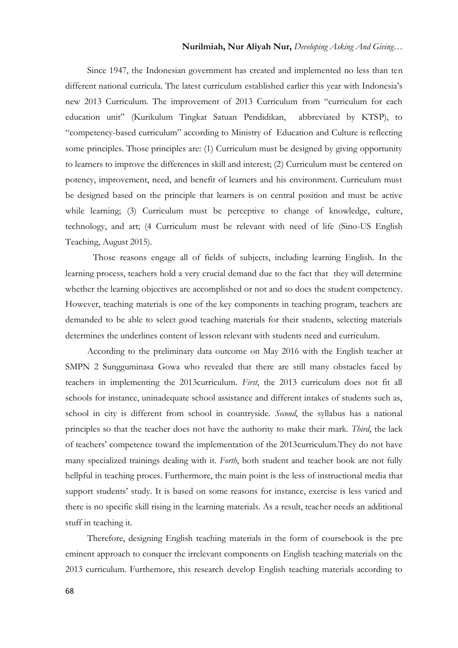# **Nurilmiah, Nur Aliyah Nur,** *Developing Asking And Giving…*

Since 1947, the Indonesian government has created and implemented no less than ten different national curricula. The latest curriculum established earlier this year with Indonesia's new 2013 Curriculum. The improvement of 2013 Curriculum from "curriculum for each education unit" (Kurikulum Tingkat Satuan Pendidikan, abbreviated by KTSP), to "competency-based curriculum" according to Ministry of Education and Culture is reflecting some principles. Those principles are: (1) Curriculum must be designed by giving opportunity to learners to improve the differences in skill and interest; (2) Curriculum must be centered on potency, improvement, need, and benefit of learners and his environment. Curriculum must be designed based on the principle that learners is on central position and must be active while learning; (3) Curriculum must be perceptive to change of knowledge, culture, technology, and art; (4 Curriculum must be relevant with need of life (Sino-US English Teaching, August 2015).

Those reasons engage all of fields of subjects, including learning English. In the learning process, teachers hold a very crucial demand due to the fact that they will determine whether the learning objectives are accomplished or not and so does the student competency. However, teaching materials is one of the key components in teaching program, teachers are demanded to be able to select good teaching materials for their students, selecting materials determines the underlines content of lesson relevant with students need and curriculum.

According to the preliminary data outcome on May 2016 with the English teacher at SMPN 2 Sungguminasa Gowa who revealed that there are still many obstacles faced by teachers in implementing the 2013curriculum. *First*, the 2013 curriculum does not fit all schools for instance, uninadequate school assistance and different intakes of students such as, school in city is different from school in countryside. *Second*, the syllabus has a national principles so that the teacher does not have the authority to make their mark. *Third*, the lack of teachers' competence toward the implementation of the 2013curriculum.They do not have many specialized trainings dealing with it. *Forth*, both student and teacher book are not fully hellpful in teaching proces. Furthermore, the main point is the less of instructional media that support students' study. It is based on some reasons for instance, exercise is less varied and there is no specific skill rising in the learning materials. As a result, teacher needs an additional stuff in teaching it.

Therefore, designing English teaching materials in the form of coursebook is the pre eminent approach to conquer the irrelevant components on English teaching materials on the 2013 curriculum. Furthemore, this research develop English teaching materials according to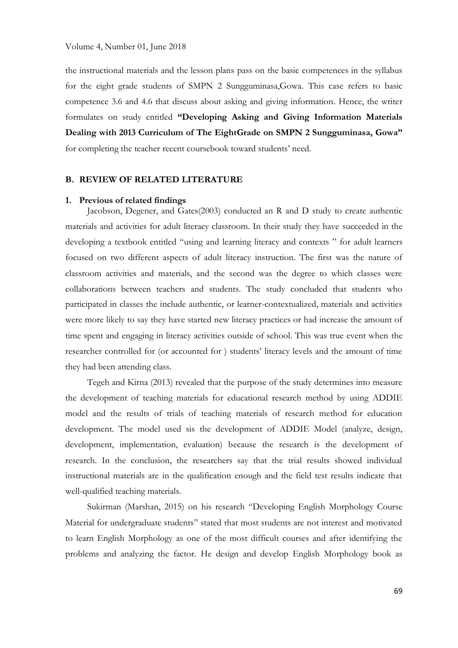the instructional materials and the lesson plans pass on the basic competences in the syllabus for the eight grade students of SMPN 2 Sungguminasa,Gowa. This case refers to basic competence 3.6 and 4.6 that discuss about asking and giving information. Hence, the writer formulates on study entitled **"Developing Asking and Giving Information Materials Dealing with 2013 Curriculum of The EightGrade on SMPN 2 Sungguminasa, Gowa"** for completing the teacher recent coursebook toward students' need.

#### **B. REVIEW OF RELATED LITERATURE**

#### **1. Previous of related findings**

Jacobson, Degener, and Gates(2003) conducted an R and D study to create authentic materials and activities for adult literacy classroom. In their study they have succeeded in the developing a textbook entitled "using and learning literacy and contexts " for adult learners focused on two different aspects of adult literacy instruction. The first was the nature of classroom activities and materials, and the second was the degree to which classes were collaborations between teachers and students. The study concluded that students who participated in classes the include authentic, or learner-contextualized, materials and activities were more likely to say they have started new literacy practices or had increase the amount of time spent and engaging in literacy activities outside of school. This was true event when the researcher controlled for (or accounted for ) students' literacy levels and the amount of time they had been attending class.

Tegeh and Kirna (2013) revealed that the purpose of the study determines into measure the development of teaching materials for educational research method by using ADDIE model and the results of trials of teaching materials of research method for education development. The model used sis the development of ADDIE Model (analyze, design, development, implementation, evaluation) because the research is the development of research. In the conclusion, the researchers say that the trial results showed individual instructional materials are in the qualification enough and the field test results indicate that well-qualified teaching materials.

Sukirman (Marshan, 2015) on his research "Developing English Morphology Course Material for undergraduate students" stated that most students are not interest and motivated to learn English Morphology as one of the most difficult courses and after identifying the problems and analyzing the factor. He design and develop English Morphology book as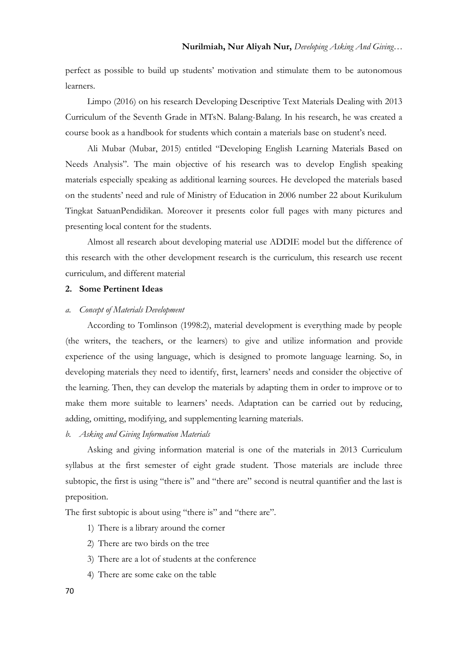perfect as possible to build up students' motivation and stimulate them to be autonomous learners.

Limpo (2016) on his research Developing Descriptive Text Materials Dealing with 2013 Curriculum of the Seventh Grade in MTsN. Balang-Balang. In his research, he was created a course book as a handbook for students which contain a materials base on student's need.

Ali Mubar (Mubar, 2015) entitled "Developing English Learning Materials Based on Needs Analysis". The main objective of his research was to develop English speaking materials especially speaking as additional learning sources. He developed the materials based on the students' need and rule of Ministry of Education in 2006 number 22 about Kurikulum Tingkat SatuanPendidikan. Moreover it presents color full pages with many pictures and presenting local content for the students.

Almost all research about developing material use ADDIE model but the difference of this research with the other development research is the curriculum, this research use recent curriculum, and different material

# **2. Some Pertinent Ideas**

# *a. Concept of Materials Development*

According to Tomlinson (1998:2), material development is everything made by people (the writers, the teachers, or the learners) to give and utilize information and provide experience of the using language, which is designed to promote language learning. So, in developing materials they need to identify, first, learners' needs and consider the objective of the learning. Then, they can develop the materials by adapting them in order to improve or to make them more suitable to learners' needs. Adaptation can be carried out by reducing, adding, omitting, modifying, and supplementing learning materials.

# *b. Asking and Giving Information Materials*

Asking and giving information material is one of the materials in 2013 Curriculum syllabus at the first semester of eight grade student. Those materials are include three subtopic, the first is using "there is" and "there are" second is neutral quantifier and the last is preposition.

The first subtopic is about using "there is" and "there are".

- 1) There is a library around the corner
- 2) There are two birds on the tree
- 3) There are a lot of students at the conference
- 4) There are some cake on the table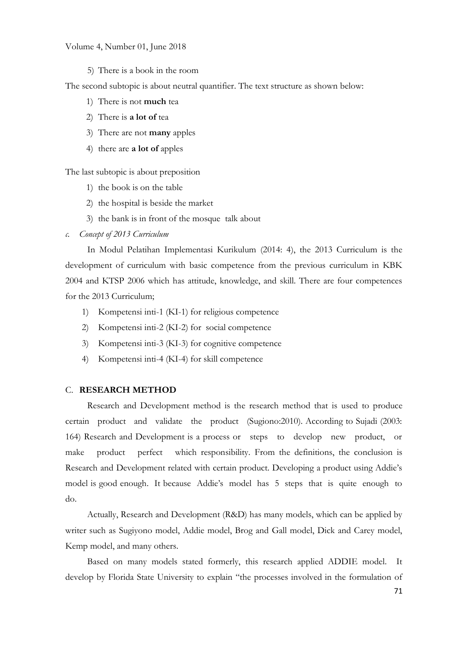## Volume 4, Number 01, June 2018

5) There is a book in the room

The second subtopic is about neutral quantifier. The text structure as shown below:

- 1) There is not **much** tea
- 2) There is **a lot of** tea
- 3) There are not **many** apples
- 4) there are **a lot of** apples

The last subtopic is about preposition

- 1) the book is on the table
- 2) the hospital is beside the market
- 3) the bank is in front of the mosque talk about
- *c. Concept of 2013 Curriculum*

In Modul Pelatihan Implementasi Kurikulum (2014: 4), the 2013 Curriculum is the development of curriculum with basic competence from the previous curriculum in KBK 2004 and KTSP 2006 which has attitude, knowledge, and skill. There are four competences for the 2013 Curriculum;

- 1) Kompetensi inti-1 (KI-1) for religious competence
- 2) Kompetensi inti-2 (KI-2) for social competence
- 3) Kompetensi inti-3 (KI-3) for cognitive competence
- 4) Kompetensi inti-4 (KI-4) for skill competence

## C. **RESEARCH METHOD**

Research and Development method is the research method that is used to produce certain product and validate the product (Sugiono:2010). According to Sujadi (2003: 164) Research and Development is a process or steps to develop new product, or make product perfect which responsibility. From the definitions, the conclusion is Research and Development related with certain product. Developing a product using Addie's model is good enough. It because Addie's model has 5 steps that is quite enough to do.

Actually, Research and Development (R&D) has many models, which can be applied by writer such as Sugiyono model, Addie model, Brog and Gall model, Dick and Carey model, Kemp model, and many others.

Based on many models stated formerly, this research applied ADDIE model. It develop by Florida State University to explain "the processes involved in the formulation of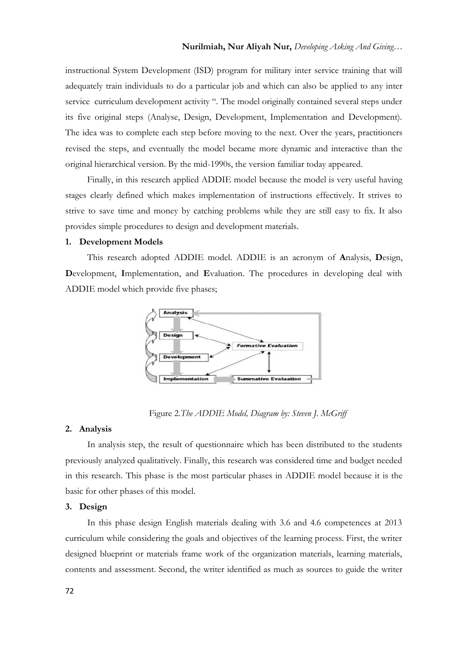instructional System Development (ISD) program for military inter service training that will adequately train individuals to do a particular job and which can also be applied to any inter service curriculum development activity ". The model originally contained several steps under its five original steps (Analyse, Design, Development, Implementation and Development). The idea was to complete each step before moving to the next. Over the years, practitioners revised the steps, and eventually the model became more dynamic and interactive than the original hierarchical version. By the mid-1990s, the version familiar today appeared.

Finally, in this research applied ADDIE model because the model is very useful having stages clearly defined which makes implementation of instructions effectively. It strives to strive to save time and money by catching problems while they are still easy to fix. It also provides simple procedures to design and development materials.

## **1. Development Models**

This research adopted ADDIE model. ADDIE is an acronym of **A**nalysis, **D**esign, **D**evelopment, **I**mplementation, and **E**valuation. The procedures in developing deal with ADDIE model which provide five phases;



Figure 2.*The ADDIE Model, Diagram by: Steven J. McGriff*

#### **2. Analysis**

In analysis step, the result of questionnaire which has been distributed to the students previously analyzed qualitatively. Finally, this research was considered time and budget needed in this research. This phase is the most particular phases in ADDIE model because it is the basic for other phases of this model.

#### **3. Design**

In this phase design English materials dealing with 3.6 and 4.6 competences at 2013 curriculum while considering the goals and objectives of the learning process. First, the writer designed blueprint or materials frame work of the organization materials, learning materials, contents and assessment. Second, the writer identified as much as sources to guide the writer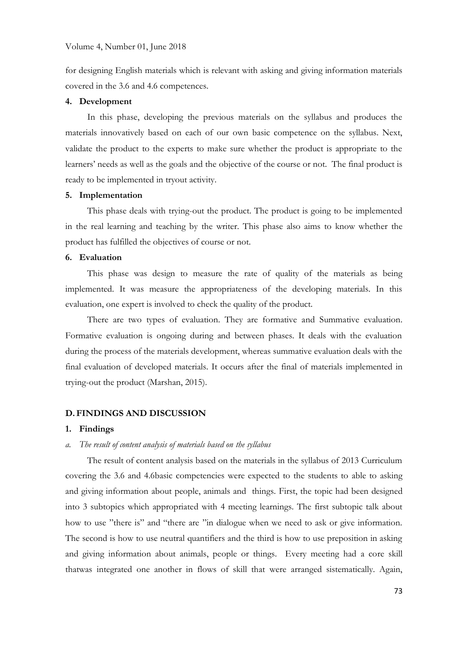for designing English materials which is relevant with asking and giving information materials covered in the 3.6 and 4.6 competences.

#### **4. Development**

In this phase, developing the previous materials on the syllabus and produces the materials innovatively based on each of our own basic competence on the syllabus. Next, validate the product to the experts to make sure whether the product is appropriate to the learners' needs as well as the goals and the objective of the course or not. The final product is ready to be implemented in tryout activity.

#### **5. Implementation**

This phase deals with trying-out the product. The product is going to be implemented in the real learning and teaching by the writer. This phase also aims to know whether the product has fulfilled the objectives of course or not.

# **6. Evaluation**

This phase was design to measure the rate of quality of the materials as being implemented. It was measure the appropriateness of the developing materials. In this evaluation, one expert is involved to check the quality of the product.

There are two types of evaluation. They are formative and Summative evaluation. Formative evaluation is ongoing during and between phases. It deals with the evaluation during the process of the materials development, whereas summative evaluation deals with the final evaluation of developed materials. It occurs after the final of materials implemented in trying-out the product (Marshan, 2015).

# **D.FINDINGS AND DISCUSSION**

### **1. Findings**

# *a. The result of content analysis of materials based on the syllabus*

The result of content analysis based on the materials in the syllabus of 2013 Curriculum covering the 3.6 and 4.6basic competencies were expected to the students to able to asking and giving information about people, animals and things. First, the topic had been designed into 3 subtopics which appropriated with 4 meeting learnings. The first subtopic talk about how to use "there is" and "there are "in dialogue when we need to ask or give information. The second is how to use neutral quantifiers and the third is how to use preposition in asking and giving information about animals, people or things. Every meeting had a core skill thatwas integrated one another in flows of skill that were arranged sistematically. Again,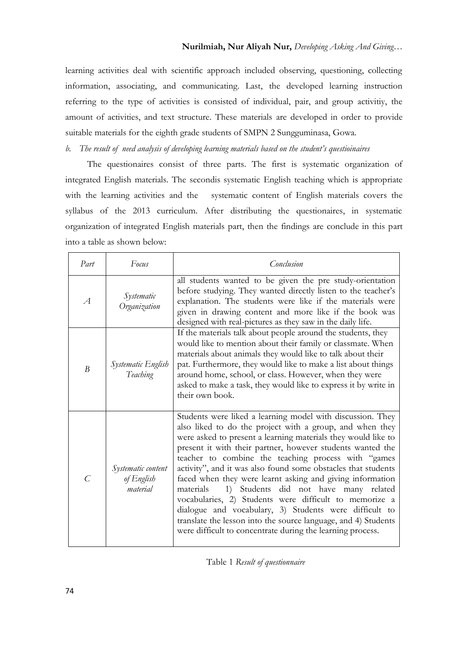learning activities deal with scientific approach included observing, questioning, collecting information, associating, and communicating. Last, the developed learning instruction referring to the type of activities is consisted of individual, pair, and group activitiy, the amount of activities, and text structure. These materials are developed in order to provide suitable materials for the eighth grade students of SMPN 2 Sungguminasa, Gowa.

*b. The result of need analysis of developing learning materials based on the student's questioinaires*

The questionaires consist of three parts. The first is systematic organization of integrated English materials. The secondis systematic English teaching which is appropriate with the learning activities and the systematic content of English materials covers the syllabus of the 2013 curriculum. After distributing the questionaires, in systematic organization of integrated English materials part, then the findings are conclude in this part into a table as shown below:

| Part          | Focus                                        | Conclusion                                                                                                                                                                                                                                                                                                                                                                                                                                                                                                                                                                                                                                                                                                                                              |
|---------------|----------------------------------------------|---------------------------------------------------------------------------------------------------------------------------------------------------------------------------------------------------------------------------------------------------------------------------------------------------------------------------------------------------------------------------------------------------------------------------------------------------------------------------------------------------------------------------------------------------------------------------------------------------------------------------------------------------------------------------------------------------------------------------------------------------------|
| $\mathcal{A}$ | Systematic<br>Organization                   | all students wanted to be given the pre study-orientation<br>before studying. They wanted directly listen to the teacher's<br>explanation. The students were like if the materials were<br>given in drawing content and more like if the book was<br>designed with real-pictures as they saw in the daily life.                                                                                                                                                                                                                                                                                                                                                                                                                                         |
| B             | Systematic English<br>Teaching               | If the materials talk about people around the students, they<br>would like to mention about their family or classmate. When<br>materials about animals they would like to talk about their<br>pat. Furthermore, they would like to make a list about things<br>around home, school, or class. However, when they were<br>asked to make a task, they would like to express it by write in<br>their own book.                                                                                                                                                                                                                                                                                                                                             |
| C             | Systematic content<br>of English<br>material | Students were liked a learning model with discussion. They<br>also liked to do the project with a group, and when they<br>were asked to present a learning materials they would like to<br>present it with their partner, however students wanted the<br>teacher to combine the teaching process with "games<br>activity", and it was also found some obstacles that students<br>faced when they were learnt asking and giving information<br>materials<br>Students did not have many related<br>1)<br>vocabularies, 2) Students were difficult to memorize a<br>dialogue and vocabulary, 3) Students were difficult to<br>translate the lesson into the source language, and 4) Students<br>were difficult to concentrate during the learning process. |

Table 1 *Result of questionnaire*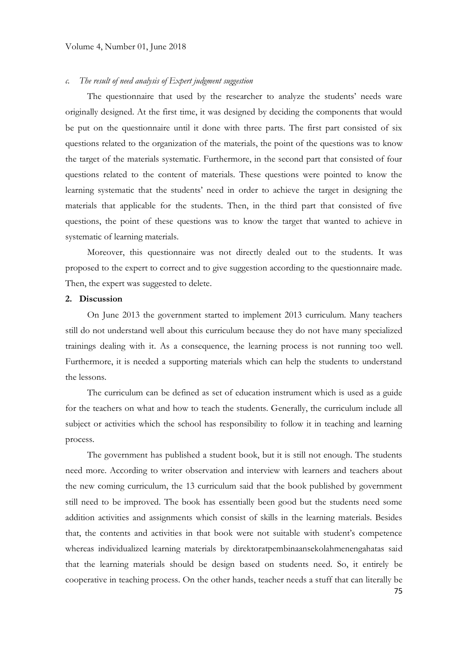# *c. The result of need analysis of Expert judgment suggestion*

The questionnaire that used by the researcher to analyze the students' needs ware originally designed. At the first time, it was designed by deciding the components that would be put on the questionnaire until it done with three parts. The first part consisted of six questions related to the organization of the materials, the point of the questions was to know the target of the materials systematic. Furthermore, in the second part that consisted of four questions related to the content of materials. These questions were pointed to know the learning systematic that the students' need in order to achieve the target in designing the materials that applicable for the students. Then, in the third part that consisted of five questions, the point of these questions was to know the target that wanted to achieve in systematic of learning materials.

Moreover, this questionnaire was not directly dealed out to the students. It was proposed to the expert to correct and to give suggestion according to the questionnaire made. Then, the expert was suggested to delete.

# **2. Discussion**

On June 2013 the government started to implement 2013 curriculum. Many teachers still do not understand well about this curriculum because they do not have many specialized trainings dealing with it. As a consequence, the learning process is not running too well. Furthermore, it is needed a supporting materials which can help the students to understand the lessons.

The curriculum can be defined as set of education instrument which is used as a guide for the teachers on what and how to teach the students. Generally, the curriculum include all subject or activities which the school has responsibility to follow it in teaching and learning process.

The government has published a student book, but it is still not enough. The students need more. According to writer observation and interview with learners and teachers about the new coming curriculum, the 13 curriculum said that the book published by government still need to be improved. The book has essentially been good but the students need some addition activities and assignments which consist of skills in the learning materials. Besides that, the contents and activities in that book were not suitable with student's competence whereas individualized learning materials by direktoratpembinaansekolahmenengahatas said that the learning materials should be design based on students need. So, it entirely be cooperative in teaching process. On the other hands, teacher needs a stuff that can literally be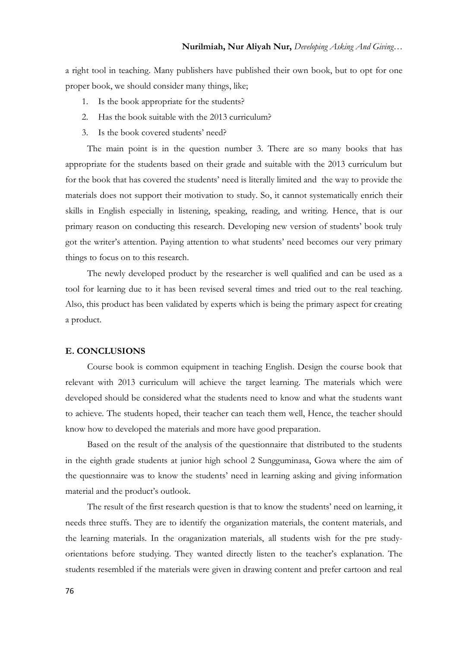a right tool in teaching. Many publishers have published their own book, but to opt for one proper book, we should consider many things, like;

- 1. Is the book appropriate for the students?
- 2. Has the book suitable with the 2013 curriculum?
- 3. Is the book covered students' need?

The main point is in the question number 3. There are so many books that has appropriate for the students based on their grade and suitable with the 2013 curriculum but for the book that has covered the students' need is literally limited and the way to provide the materials does not support their motivation to study. So, it cannot systematically enrich their skills in English especially in listening, speaking, reading, and writing. Hence, that is our primary reason on conducting this research. Developing new version of students' book truly got the writer's attention. Paying attention to what students' need becomes our very primary things to focus on to this research.

The newly developed product by the researcher is well qualified and can be used as a tool for learning due to it has been revised several times and tried out to the real teaching. Also, this product has been validated by experts which is being the primary aspect for creating a product.

# **E. CONCLUSIONS**

Course book is common equipment in teaching English. Design the course book that relevant with 2013 curriculum will achieve the target learning. The materials which were developed should be considered what the students need to know and what the students want to achieve. The students hoped, their teacher can teach them well, Hence, the teacher should know how to developed the materials and more have good preparation.

Based on the result of the analysis of the questionnaire that distributed to the students in the eighth grade students at junior high school 2 Sungguminasa, Gowa where the aim of the questionnaire was to know the students' need in learning asking and giving information material and the product's outlook.

The result of the first research question is that to know the students' need on learning, it needs three stuffs. They are to identify the organization materials, the content materials, and the learning materials. In the oraganization materials, all students wish for the pre studyorientations before studying. They wanted directly listen to the teacher's explanation. The students resembled if the materials were given in drawing content and prefer cartoon and real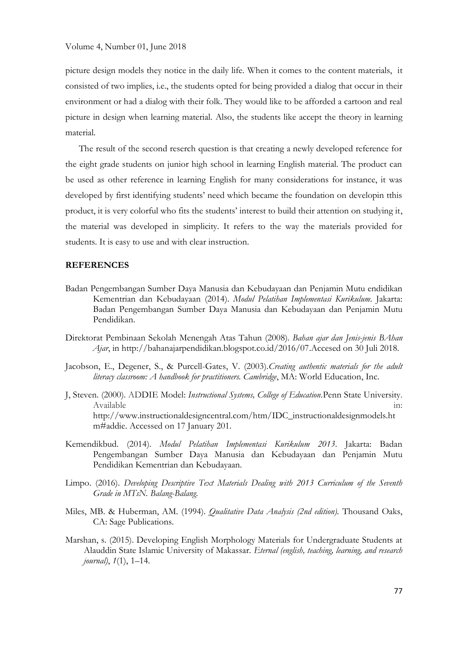picture design models they notice in the daily life. When it comes to the content materials, it consisted of two implies, i.e., the students opted for being provided a dialog that occur in their environment or had a dialog with their folk. They would like to be afforded a cartoon and real picture in design when learning material. Also, the students like accept the theory in learning material.

The result of the second reserch question is that creating a newly developed reference for the eight grade students on junior high school in learning English material. The product can be used as other reference in learning English for many considerations for instance, it was developed by first identifying students' need which became the foundation on developin tthis product, it is very colorful who fits the students' interest to build their attention on studying it, the material was developed in simplicity. It refers to the way the materials provided for students. It is easy to use and with clear instruction.

# **REFERENCES**

- Badan Pengembangan Sumber Daya Manusia dan Kebudayaan dan Penjamin Mutu endidikan Kementrian dan Kebudayaan (2014). *Modul Pelatihan Implementasi Kurikulum.* Jakarta: Badan Pengembangan Sumber Daya Manusia dan Kebudayaan dan Penjamin Mutu Pendidikan.
- Direktorat Pembinaan Sekolah Menengah Atas Tahun (2008). *Bahan ajar dan Jenis-jenis BAhan Ajar*, in [http://bahanajarpendidikan.blogspot.co.id/2016/07.](http://bahanajarpendidikan.blogspot.co.id/2016/07)Accesed on 30 Juli 2018.
- Jacobson, E., Degener, S., & Purcell-Gates, V. (2003).*Creating authentic materials for the adult literacy classroom: A handbook for practitioners. Cambridge*, MA: World Education, Inc.
- J, Steven. (2000). ADDIE Model: *Instructional Systems, College of Education.*Penn State University. Available in: [http://www.instructionaldesigncentral.com/htm/IDC\\_instructionaldesignmodels.ht](http://www.instructionaldesigncentral.com/htm/IDC_instructionaldesignmodels.htm#addie) [m#addie.](http://www.instructionaldesigncentral.com/htm/IDC_instructionaldesignmodels.htm#addie) Accessed on 17 January 201.
- Kemendikbud. (2014). *Modul Pelatihan Implementasi Kurikulum 2013*. Jakarta: Badan Pengembangan Sumber Daya Manusia dan Kebudayaan dan Penjamin Mutu Pendidikan Kementrian dan Kebudayaan.
- Limpo. (2016). *Developing Descriptive Text Materials Dealing with 2013 Curriculum of the Seventh Grade in MTsN. Balang-Balang*.
- Miles, MB. & Huberman, AM. (1994). *Qualitative Data Analysis (2nd edition).* Thousand Oaks, CA: Sage Publications.
- Marshan, s. (2015). Developing English Morphology Materials for Undergraduate Students at Alauddin State Islamic University of Makassar. *Eternal (english, teaching, learning, and research journal)*, *1*(1), 1–14.